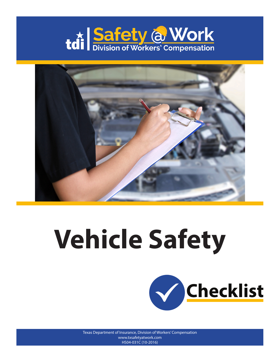



## **Vehicle Safety**



Texas Department of Insurance, Division of Workers' Compensation www.txsafetyatwork.com HS04-031C (10-2016)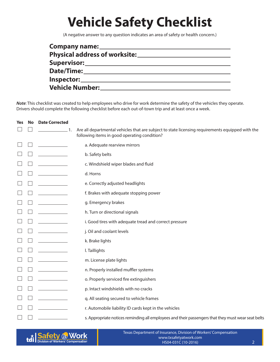## **Vehicle Safety Checklist**

(A negative answer to any question indicates an area of safety or health concern.)

| Company name: _______                      |
|--------------------------------------------|
| Physical address of worksite: ____________ |
| Supervisor: Network of the Supervisor:     |
| Date/Time:                                 |
|                                            |
|                                            |

*Note*: This checklist was created to help employees who drive for work determine the safety of the vehicles they operate. Drivers should complete the following checklist before each out-of-town trip and at least once a week.

| <b>Yes</b> | <b>No</b> | <b>Date Corrected</b>                                                                                                                                                                                                                                                                                                                                                                                                           |                                                                                                                                                  |
|------------|-----------|---------------------------------------------------------------------------------------------------------------------------------------------------------------------------------------------------------------------------------------------------------------------------------------------------------------------------------------------------------------------------------------------------------------------------------|--------------------------------------------------------------------------------------------------------------------------------------------------|
|            |           | $\frac{1}{\sqrt{1-\frac{1}{2}}}\frac{1}{\sqrt{1-\frac{1}{2}}}\frac{1}{\sqrt{1-\frac{1}{2}}}\frac{1}{\sqrt{1-\frac{1}{2}}}\frac{1}{\sqrt{1-\frac{1}{2}}}\frac{1}{\sqrt{1-\frac{1}{2}}}\frac{1}{\sqrt{1-\frac{1}{2}}}\frac{1}{\sqrt{1-\frac{1}{2}}}\frac{1}{\sqrt{1-\frac{1}{2}}}\frac{1}{\sqrt{1-\frac{1}{2}}}\frac{1}{\sqrt{1-\frac{1}{2}}}\frac{1}{\sqrt{1-\frac{1}{2}}}\frac{1}{\sqrt{1-\frac{1}{2}}}\frac{1}{\sqrt{1-\frac{$ | Are all departmental vehicles that are subject to state licensing requirements equipped with the<br>following items in good operating condition? |
|            |           |                                                                                                                                                                                                                                                                                                                                                                                                                                 | a. Adequate rearview mirrors                                                                                                                     |
|            |           |                                                                                                                                                                                                                                                                                                                                                                                                                                 | b. Safety belts                                                                                                                                  |
|            |           |                                                                                                                                                                                                                                                                                                                                                                                                                                 | c. Windshield wiper blades and fluid                                                                                                             |
|            |           |                                                                                                                                                                                                                                                                                                                                                                                                                                 | d. Horns                                                                                                                                         |
|            |           |                                                                                                                                                                                                                                                                                                                                                                                                                                 | e. Correctly adjusted headlights                                                                                                                 |
|            |           |                                                                                                                                                                                                                                                                                                                                                                                                                                 | f. Brakes with adequate stopping power                                                                                                           |
|            |           |                                                                                                                                                                                                                                                                                                                                                                                                                                 | g. Emergency brakes                                                                                                                              |
|            |           |                                                                                                                                                                                                                                                                                                                                                                                                                                 | h. Turn or directional signals                                                                                                                   |
|            |           |                                                                                                                                                                                                                                                                                                                                                                                                                                 | i. Good tires with adequate tread and correct pressure                                                                                           |
|            |           |                                                                                                                                                                                                                                                                                                                                                                                                                                 | j. Oil and coolant levels                                                                                                                        |
|            |           |                                                                                                                                                                                                                                                                                                                                                                                                                                 | k. Brake lights                                                                                                                                  |
|            |           |                                                                                                                                                                                                                                                                                                                                                                                                                                 | I. Taillights                                                                                                                                    |
|            |           |                                                                                                                                                                                                                                                                                                                                                                                                                                 | m. License plate lights                                                                                                                          |
|            |           |                                                                                                                                                                                                                                                                                                                                                                                                                                 | n. Properly installed muffler systems                                                                                                            |
|            |           |                                                                                                                                                                                                                                                                                                                                                                                                                                 | o. Properly serviced fire extinguishers                                                                                                          |
|            |           |                                                                                                                                                                                                                                                                                                                                                                                                                                 | p. Intact windshields with no cracks                                                                                                             |
|            |           |                                                                                                                                                                                                                                                                                                                                                                                                                                 | q. All seating secured to vehicle frames                                                                                                         |
|            |           |                                                                                                                                                                                                                                                                                                                                                                                                                                 | r. Automobile liability ID cards kept in the vehicles                                                                                            |
|            |           |                                                                                                                                                                                                                                                                                                                                                                                                                                 | s. Appropriate notices reminding all employees and their passengers that they must wear seat belts                                               |



Texas Department of Insurance, Division of Workers' Compensation www.txsafetyatwork.com HS04-031C (10-2016)